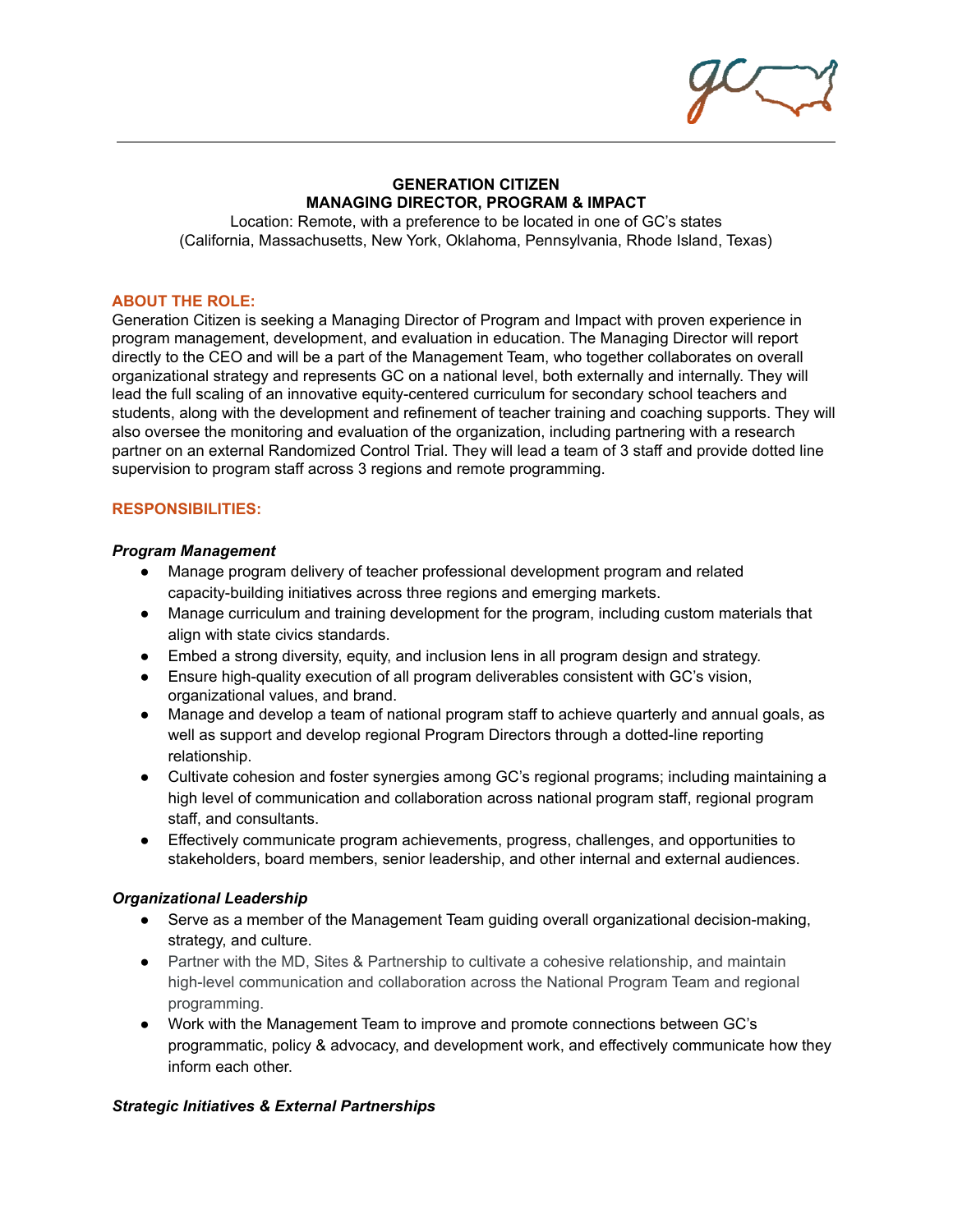### **GENERATION CITIZEN MANAGING DIRECTOR, PROGRAM & IMPACT**

Location: Remote, with a preference to be located in one of GC's states (California, Massachusetts, New York, Oklahoma, Pennsylvania, Rhode Island, Texas)

### **ABOUT THE ROLE:**

Generation Citizen is seeking a Managing Director of Program and Impact with proven experience in program management, development, and evaluation in education. The Managing Director will report directly to the CEO and will be a part of the Management Team, who together collaborates on overall organizational strategy and represents GC on a national level, both externally and internally. They will lead the full scaling of an innovative equity-centered curriculum for secondary school teachers and students, along with the development and refinement of teacher training and coaching supports. They will also oversee the monitoring and evaluation of the organization, including partnering with a research partner on an external Randomized Control Trial. They will lead a team of 3 staff and provide dotted line supervision to program staff across 3 regions and remote programming.

### **RESPONSIBILITIES:**

#### *Program Management*

- Manage program delivery of teacher professional development program and related capacity-building initiatives across three regions and emerging markets.
- Manage curriculum and training development for the program, including custom materials that align with state civics standards.
- Embed a strong diversity, equity, and inclusion lens in all program design and strategy.
- Ensure high-quality execution of all program deliverables consistent with GC's vision, organizational values, and brand.
- Manage and develop a team of national program staff to achieve quarterly and annual goals, as well as support and develop regional Program Directors through a dotted-line reporting relationship.
- Cultivate cohesion and foster synergies among GC's regional programs; including maintaining a high level of communication and collaboration across national program staff, regional program staff, and consultants.
- Effectively communicate program achievements, progress, challenges, and opportunities to stakeholders, board members, senior leadership, and other internal and external audiences.

### *Organizational Leadership*

- Serve as a member of the Management Team guiding overall organizational decision-making, strategy, and culture.
- Partner with the MD, Sites & Partnership to cultivate a cohesive relationship, and maintain high-level communication and collaboration across the National Program Team and regional programming.
- Work with the Management Team to improve and promote connections between GC's programmatic, policy & advocacy, and development work, and effectively communicate how they inform each other.

### *Strategic Initiatives & External Partnerships*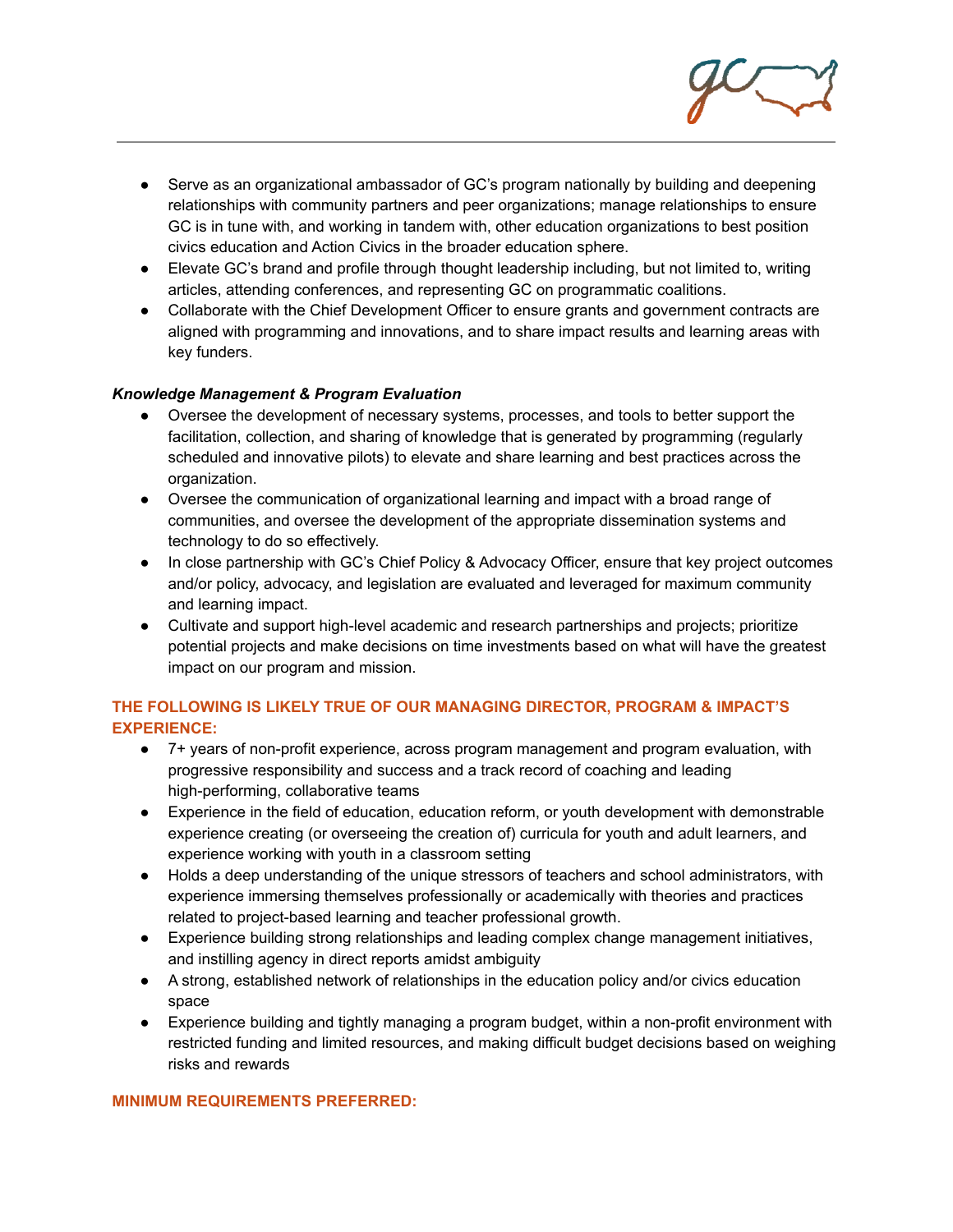

- Serve as an organizational ambassador of GC's program nationally by building and deepening relationships with community partners and peer organizations; manage relationships to ensure GC is in tune with, and working in tandem with, other education organizations to best position civics education and Action Civics in the broader education sphere.
- Elevate GC's brand and profile through thought leadership including, but not limited to, writing articles, attending conferences, and representing GC on programmatic coalitions.
- Collaborate with the Chief Development Officer to ensure grants and government contracts are aligned with programming and innovations, and to share impact results and learning areas with key funders.

## *Knowledge Management & Program Evaluation*

- Oversee the development of necessary systems, processes, and tools to better support the facilitation, collection, and sharing of knowledge that is generated by programming (regularly scheduled and innovative pilots) to elevate and share learning and best practices across the organization.
- Oversee the communication of organizational learning and impact with a broad range of communities, and oversee the development of the appropriate dissemination systems and technology to do so effectively.
- In close partnership with GC's Chief Policy & Advocacy Officer, ensure that key project outcomes and/or policy, advocacy, and legislation are evaluated and leveraged for maximum community and learning impact.
- Cultivate and support high-level academic and research partnerships and projects; prioritize potential projects and make decisions on time investments based on what will have the greatest impact on our program and mission.

# **THE FOLLOWING IS LIKELY TRUE OF OUR MANAGING DIRECTOR, PROGRAM & IMPACT'S EXPERIENCE:**

- 7+ years of non-profit experience, across program management and program evaluation, with progressive responsibility and success and a track record of coaching and leading high-performing, collaborative teams
- Experience in the field of education, education reform, or youth development with demonstrable experience creating (or overseeing the creation of) curricula for youth and adult learners, and experience working with youth in a classroom setting
- Holds a deep understanding of the unique stressors of teachers and school administrators, with experience immersing themselves professionally or academically with theories and practices related to project-based learning and teacher professional growth.
- Experience building strong relationships and leading complex change management initiatives, and instilling agency in direct reports amidst ambiguity
- A strong, established network of relationships in the education policy and/or civics education space
- Experience building and tightly managing a program budget, within a non-profit environment with restricted funding and limited resources, and making difficult budget decisions based on weighing risks and rewards

## **MINIMUM REQUIREMENTS PREFERRED:**